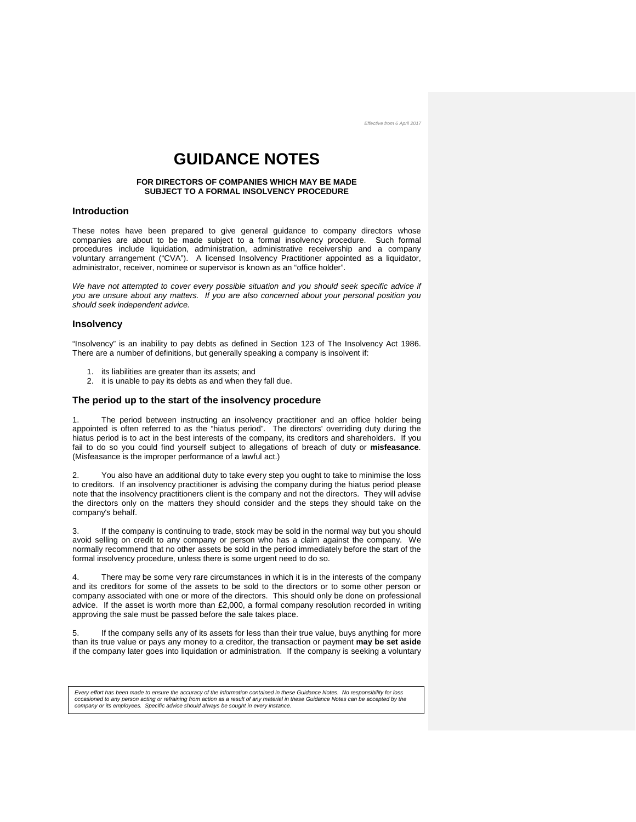# **GUIDANCE NOTES**

#### **FOR DIRECTORS OF COMPANIES WHICH MAY BE MADE SUBJECT TO A FORMAL INSOLVENCY PROCEDURE**

## **Introduction**

These notes have been prepared to give general guidance to company directors whose companies are about to be made subject to a formal insolvency procedure. Such formal procedures include liquidation, administration, administrative receivership and a company voluntary arrangement ("CVA"). A licensed Insolvency Practitioner appointed as a liquidator, administrator, receiver, nominee or supervisor is known as an "office holder".

*We have not attempted to cover every possible situation and you should seek specific advice if you are unsure about any matters. If you are also concerned about your personal position you should seek independent advice.*

## **Insolvency**

"Insolvency" is an inability to pay debts as defined in Section 123 of The Insolvency Act 1986. There are a number of definitions, but generally speaking a company is insolvent if:

- 1. its liabilities are greater than its assets; and
- 2. it is unable to pay its debts as and when they fall due.

#### **The period up to the start of the insolvency procedure**

1. The period between instructing an insolvency practitioner and an office holder being appointed is often referred to as the "hiatus period". The directors' overriding duty during the hiatus period is to act in the best interests of the company, its creditors and shareholders. If you fail to do so you could find yourself subject to allegations of breach of duty or **misfeasance**. (Misfeasance is the improper performance of a lawful act.)

You also have an additional duty to take every step you ought to take to minimise the loss to creditors. If an insolvency practitioner is advising the company during the hiatus period please note that the insolvency practitioners client is the company and not the directors. They will advise the directors only on the matters they should consider and the steps they should take on the company's behalf.

3. If the company is continuing to trade, stock may be sold in the normal way but you should avoid selling on credit to any company or person who has a claim against the company. We normally recommend that no other assets be sold in the period immediately before the start of the formal insolvency procedure, unless there is some urgent need to do so.

4. There may be some very rare circumstances in which it is in the interests of the company and its creditors for some of the assets to be sold to the directors or to some other person or company associated with one or more of the directors. This should only be done on professional advice. If the asset is worth more than £2,000, a formal company resolution recorded in writing approving the sale must be passed before the sale takes place.

5. If the company sells any of its assets for less than their true value, buys anything for more than its true value or pays any money to a creditor, the transaction or payment **may be set aside** if the company later goes into liquidation or administration. If the company is seeking a voluntary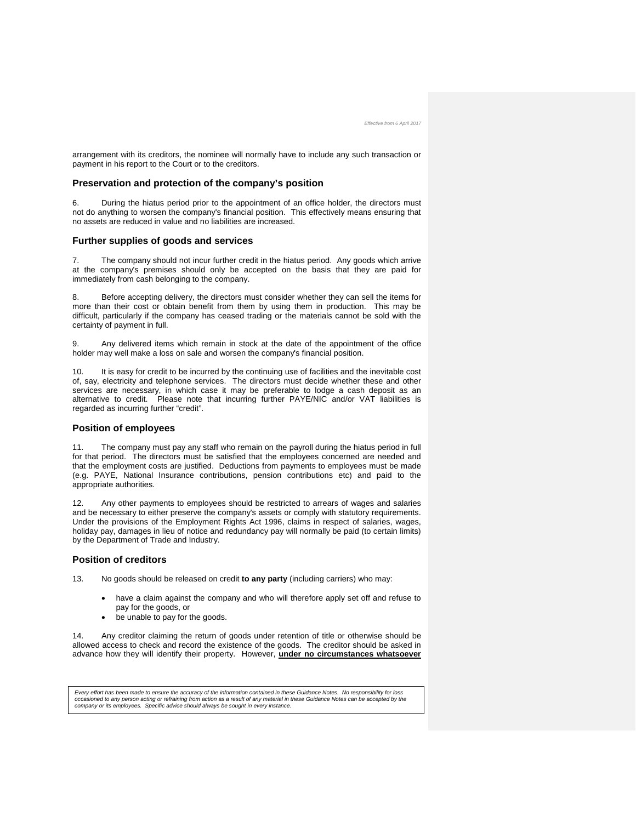arrangement with its creditors, the nominee will normally have to include any such transaction or payment in his report to the Court or to the creditors.

#### **Preservation and protection of the company's position**

During the hiatus period prior to the appointment of an office holder, the directors must not do anything to worsen the company's financial position. This effectively means ensuring that no assets are reduced in value and no liabilities are increased.

#### **Further supplies of goods and services**

7. The company should not incur further credit in the hiatus period. Any goods which arrive at the company's premises should only be accepted on the basis that they are paid for immediately from cash belonging to the company.

8. Before accepting delivery, the directors must consider whether they can sell the items for more than their cost or obtain benefit from them by using them in production. This may be difficult, particularly if the company has ceased trading or the materials cannot be sold with the certainty of payment in full.

9. Any delivered items which remain in stock at the date of the appointment of the office holder may well make a loss on sale and worsen the company's financial position.

10. It is easy for credit to be incurred by the continuing use of facilities and the inevitable cost of, say, electricity and telephone services. The directors must decide whether these and other services are necessary, in which case it may be preferable to lodge a cash deposit as an alternative to credit. Please note that incurring further PAYE/NIC and/or VAT liabilities is regarded as incurring further "credit".

### **Position of employees**

11. The company must pay any staff who remain on the payroll during the hiatus period in full for that period. The directors must be satisfied that the employees concerned are needed and that the employment costs are justified. Deductions from payments to employees must be made (e.g. PAYE, National Insurance contributions, pension contributions etc) and paid to the appropriate authorities.

12. Any other payments to employees should be restricted to arrears of wages and salaries and be necessary to either preserve the company's assets or comply with statutory requirements. Under the provisions of the Employment Rights Act 1996, claims in respect of salaries, wages, holiday pay, damages in lieu of notice and redundancy pay will normally be paid (to certain limits) by the Department of Trade and Industry.

## **Position of creditors**

13. No goods should be released on credit **to any party** (including carriers) who may:

- have a claim against the company and who will therefore apply set off and refuse to pay for the goods, or
- be unable to pay for the goods.

14. Any creditor claiming the return of goods under retention of title or otherwise should be allowed access to check and record the existence of the goods. The creditor should be asked in advance how they will identify their property. However, **under no circumstances whatsoever**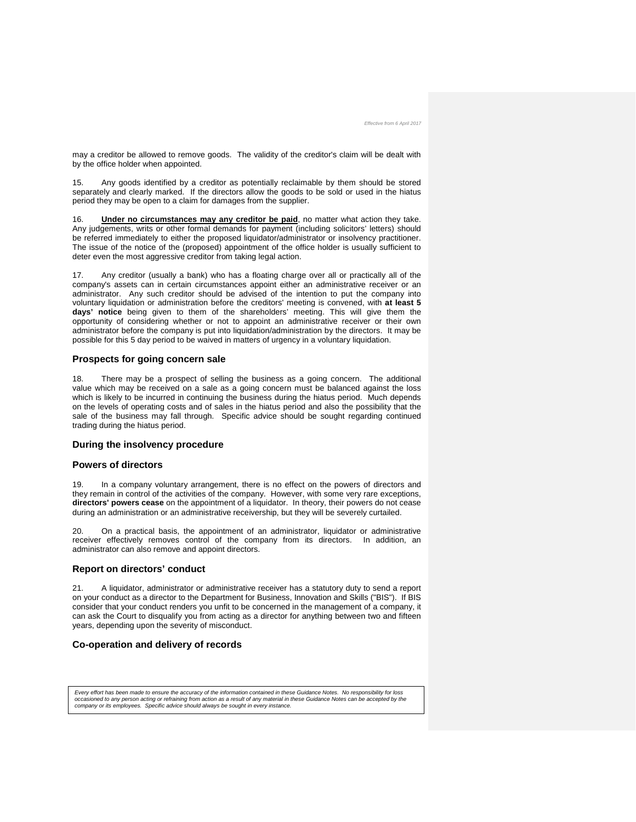may a creditor be allowed to remove goods. The validity of the creditor's claim will be dealt with by the office holder when appointed.

15. Any goods identified by a creditor as potentially reclaimable by them should be stored separately and clearly marked. If the directors allow the goods to be sold or used in the hiatus period they may be open to a claim for damages from the supplier.

16. **Under no circumstances may any creditor be paid**, no matter what action they take. Any judgements, writs or other formal demands for payment (including solicitors' letters) should be referred immediately to either the proposed liquidator/administrator or insolvency practitioner. The issue of the notice of the (proposed) appointment of the office holder is usually sufficient to deter even the most aggressive creditor from taking legal action.

17. Any creditor (usually a bank) who has a floating charge over all or practically all of the company's assets can in certain circumstances appoint either an administrative receiver or an administrator. Any such creditor should be advised of the intention to put the company into voluntary liquidation or administration before the creditors' meeting is convened, with **at least 5 days' notice** being given to them of the shareholders' meeting. This will give them the opportunity of considering whether or not to appoint an administrative receiver or their own administrator before the company is put into liquidation/administration by the directors. It may be possible for this 5 day period to be waived in matters of urgency in a voluntary liquidation.

## **Prospects for going concern sale**

18. There may be a prospect of selling the business as a going concern. The additional value which may be received on a sale as a going concern must be balanced against the loss which is likely to be incurred in continuing the business during the hiatus period. Much depends on the levels of operating costs and of sales in the hiatus period and also the possibility that the sale of the business may fall through. Specific advice should be sought regarding continued trading during the hiatus period.

## **During the insolvency procedure**

#### **Powers of directors**

19. In a company voluntary arrangement, there is no effect on the powers of directors and they remain in control of the activities of the company. However, with some very rare exceptions, **directors' powers cease** on the appointment of a liquidator. In theory, their powers do not cease during an administration or an administrative receivership, but they will be severely curtailed.

20. On a practical basis, the appointment of an administrator, liquidator or administrative receiver effectively removes control of the company from its directors. In addition, an administrator can also remove and appoint directors.

#### **Report on directors' conduct**

21. A liquidator, administrator or administrative receiver has a statutory duty to send a report on your conduct as a director to the Department for Business, Innovation and Skills ("BIS"). If BIS consider that your conduct renders you unfit to be concerned in the management of a company, it can ask the Court to disqualify you from acting as a director for anything between two and fifteen years, depending upon the severity of misconduct.

## **Co-operation and delivery of records**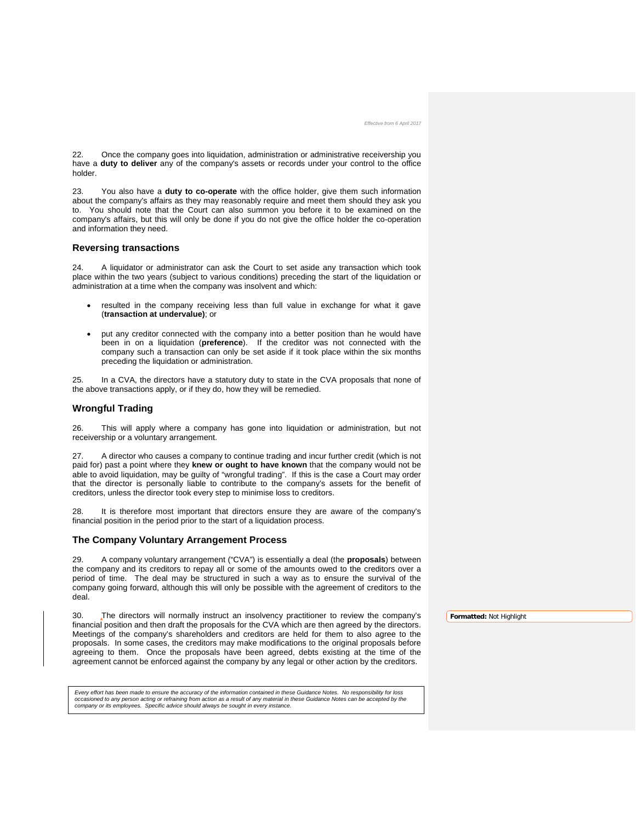22. Once the company goes into liquidation, administration or administrative receivership you have a **duty to deliver** any of the company's assets or records under your control to the office holder.

23. You also have a **duty to co-operate** with the office holder, give them such information about the company's affairs as they may reasonably require and meet them should they ask you to. You should note that the Court can also summon you before it to be examined on the company's affairs, but this will only be done if you do not give the office holder the co-operation and information they need.

## **Reversing transactions**

24. A liquidator or administrator can ask the Court to set aside any transaction which took place within the two years (subject to various conditions) preceding the start of the liquidation or administration at a time when the company was insolvent and which:

- resulted in the company receiving less than full value in exchange for what it gave (**transaction at undervalue)**; or
- put any creditor connected with the company into a better position than he would have been in on a liquidation (**preference**). If the creditor was not connected with the company such a transaction can only be set aside if it took place within the six months preceding the liquidation or administration.

25. In a CVA, the directors have a statutory duty to state in the CVA proposals that none of the above transactions apply, or if they do, how they will be remedied.

## **Wrongful Trading**

26. This will apply where a company has gone into liquidation or administration, but not receivership or a voluntary arrangement.

27. A director who causes a company to continue trading and incur further credit (which is not paid for) past a point where they **knew or ought to have known** that the company would not be able to avoid liquidation, may be guilty of "wrongful trading". If this is the case a Court may order that the director is personally liable to contribute to the company's assets for the benefit of creditors, unless the director took every step to minimise loss to creditors.

28. It is therefore most important that directors ensure they are aware of the company's financial position in the period prior to the start of a liquidation process.

## **The Company Voluntary Arrangement Process**

29. A company voluntary arrangement ("CVA") is essentially a deal (the **proposals**) between the company and its creditors to repay all or some of the amounts owed to the creditors over a period of time. The deal may be structured in such a way as to ensure the survival of the company going forward, although this will only be possible with the agreement of creditors to the deal.

30. The directors will normally instruct an insolvency practitioner to review the company's financial position and then draft the proposals for the CVA which are then agreed by the directors. Meetings of the company's shareholders and creditors are held for them to also agree to the proposals. In some cases, the creditors may make modifications to the original proposals before agreeing to them. Once the proposals have been agreed, debts existing at the time of the agreement cannot be enforced against the company by any legal or other action by the creditors.

Every effort has been made to ensure the accuracy of the information contained in these Guidance Notes. No responsibility for loss<br>occasioned to any person acting or refraining from action as a result of any material in th *company or its employees. Specific advice should always be sought in every instance.*

**Formatted:** Not Highlight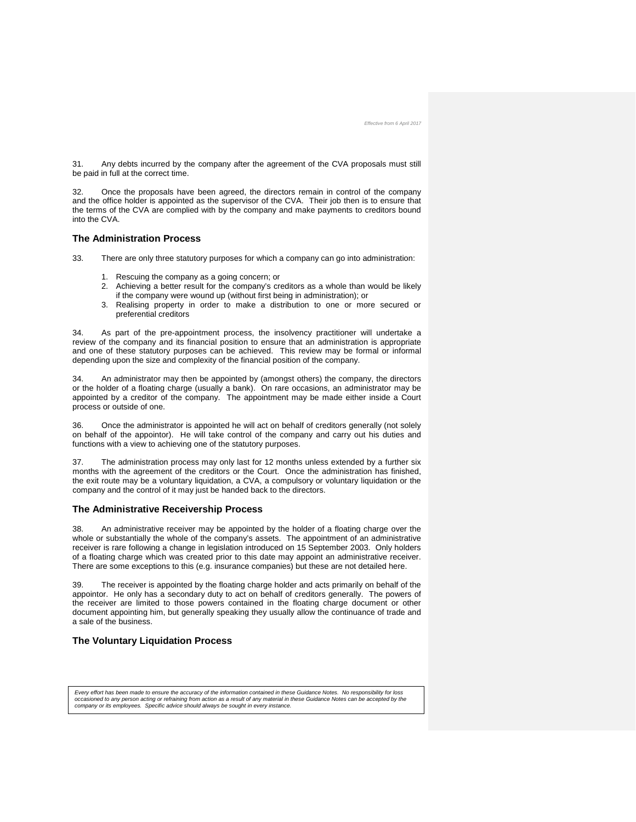31. Any debts incurred by the company after the agreement of the CVA proposals must still be paid in full at the correct time.

Once the proposals have been agreed, the directors remain in control of the company and the office holder is appointed as the supervisor of the CVA. Their job then is to ensure that the terms of the CVA are complied with by the company and make payments to creditors bound into the CVA.

### **The Administration Process**

- 33. There are only three statutory purposes for which a company can go into administration:
	- 1. Rescuing the company as a going concern; or
	- 2. Achieving a better result for the company's creditors as a whole than would be likely if the company were wound up (without first being in administration); or
	- 3. Realising property in order to make a distribution to one or more secured or preferential creditors

34. As part of the pre-appointment process, the insolvency practitioner will undertake a review of the company and its financial position to ensure that an administration is appropriate and one of these statutory purposes can be achieved. This review may be formal or informal depending upon the size and complexity of the financial position of the company.

34. An administrator may then be appointed by (amongst others) the company, the directors or the holder of a floating charge (usually a bank). On rare occasions, an administrator may be appointed by a creditor of the company. The appointment may be made either inside a Court process or outside of one.

36. Once the administrator is appointed he will act on behalf of creditors generally (not solely on behalf of the appointor). He will take control of the company and carry out his duties and functions with a view to achieving one of the statutory purposes.

37. The administration process may only last for 12 months unless extended by a further six months with the agreement of the creditors or the Court. Once the administration has finished, the exit route may be a voluntary liquidation, a CVA, a compulsory or voluntary liquidation or the company and the control of it may just be handed back to the directors.

## **The Administrative Receivership Process**

38. An administrative receiver may be appointed by the holder of a floating charge over the whole or substantially the whole of the company's assets. The appointment of an administrative receiver is rare following a change in legislation introduced on 15 September 2003. Only holders of a floating charge which was created prior to this date may appoint an administrative receiver. There are some exceptions to this (e.g. insurance companies) but these are not detailed here.

39. The receiver is appointed by the floating charge holder and acts primarily on behalf of the appointor. He only has a secondary duty to act on behalf of creditors generally. The powers of the receiver are limited to those powers contained in the floating charge document or other document appointing him, but generally speaking they usually allow the continuance of trade and a sale of the business.

## **The Voluntary Liquidation Process**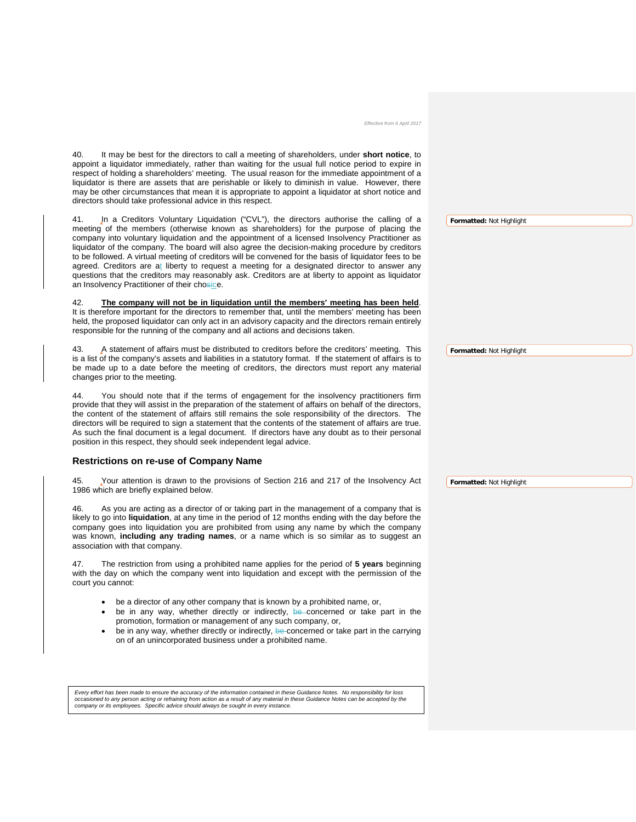| Effective from 6 April 2017                                                                                                                                                                                                                                                                                                                                                                                                                                                                                                                                                                                                                                                                                                                                     |                          |
|-----------------------------------------------------------------------------------------------------------------------------------------------------------------------------------------------------------------------------------------------------------------------------------------------------------------------------------------------------------------------------------------------------------------------------------------------------------------------------------------------------------------------------------------------------------------------------------------------------------------------------------------------------------------------------------------------------------------------------------------------------------------|--------------------------|
| It may be best for the directors to call a meeting of shareholders, under short notice, to<br>40.<br>appoint a liquidator immediately, rather than waiting for the usual full notice period to expire in<br>respect of holding a shareholders' meeting. The usual reason for the immediate appointment of a<br>liquidator is there are assets that are perishable or likely to diminish in value. However, there<br>may be other circumstances that mean it is appropriate to appoint a liquidator at short notice and<br>directors should take professional advice in this respect.                                                                                                                                                                            |                          |
| 41.<br>In a Creditors Voluntary Liquidation ("CVL"), the directors authorise the calling of a<br>meeting of the members (otherwise known as shareholders) for the purpose of placing the<br>company into voluntary liquidation and the appointment of a licensed Insolvency Practitioner as<br>liquidator of the company. The board will also agree the decision-making procedure by creditors<br>to be followed. A virtual meeting of creditors will be convened for the basis of liquidator fees to be<br>agreed. Creditors are at liberty to request a meeting for a designated director to answer any<br>questions that the creditors may reasonably ask. Creditors are at liberty to appoint as liquidator<br>an Insolvency Practitioner of their chosice. | Formatted: Not Highlight |
| The company will not be in liquidation until the members' meeting has been held.<br>42.<br>It is therefore important for the directors to remember that, until the members' meeting has been<br>held, the proposed liquidator can only act in an advisory capacity and the directors remain entirely<br>responsible for the running of the company and all actions and decisions taken.                                                                                                                                                                                                                                                                                                                                                                         |                          |
| 43.<br>A statement of affairs must be distributed to creditors before the creditors' meeting. This<br>is a list of the company's assets and liabilities in a statutory format. If the statement of affairs is to<br>be made up to a date before the meeting of creditors, the directors must report any material<br>changes prior to the meeting.                                                                                                                                                                                                                                                                                                                                                                                                               | Formatted: Not Highlight |
| You should note that if the terms of engagement for the insolvency practitioners firm<br>44.<br>provide that they will assist in the preparation of the statement of affairs on behalf of the directors,<br>the content of the statement of affairs still remains the sole responsibility of the directors. The<br>directors will be required to sign a statement that the contents of the statement of affairs are true.<br>As such the final document is a legal document. If directors have any doubt as to their personal<br>position in this respect, they should seek independent legal advice.                                                                                                                                                           |                          |
| <b>Restrictions on re-use of Company Name</b>                                                                                                                                                                                                                                                                                                                                                                                                                                                                                                                                                                                                                                                                                                                   |                          |
| Your attention is drawn to the provisions of Section 216 and 217 of the Insolvency Act<br>45.<br>1986 which are briefly explained below.                                                                                                                                                                                                                                                                                                                                                                                                                                                                                                                                                                                                                        | Formatted: Not Highlight |
| As you are acting as a director of or taking part in the management of a company that is<br>46.<br>likely to go into liquidation, at any time in the period of 12 months ending with the day before the<br>company goes into liquidation you are prohibited from using any name by which the company<br>was known, including any trading names, or a name which is so similar as to suggest an<br>association with that company.                                                                                                                                                                                                                                                                                                                                |                          |
| 47.<br>The restriction from using a prohibited name applies for the period of 5 years beginning<br>with the day on which the company went into liquidation and except with the permission of the<br>court you cannot:                                                                                                                                                                                                                                                                                                                                                                                                                                                                                                                                           |                          |
| be a director of any other company that is known by a prohibited name, or,<br>$\bullet$<br>be in any way, whether directly or indirectly, be concerned or take part in the<br>٠<br>promotion, formation or management of any such company, or,<br>be in any way, whether directly or indirectly, be concerned or take part in the carrying<br>٠<br>on of an unincorporated business under a prohibited name.                                                                                                                                                                                                                                                                                                                                                    |                          |

Every effort has been made to ensure the accuracy of the information contained in these Guidance Notes. No responsibility for loss<br>occasioned to any person acting or refraining from action as a result of any material in th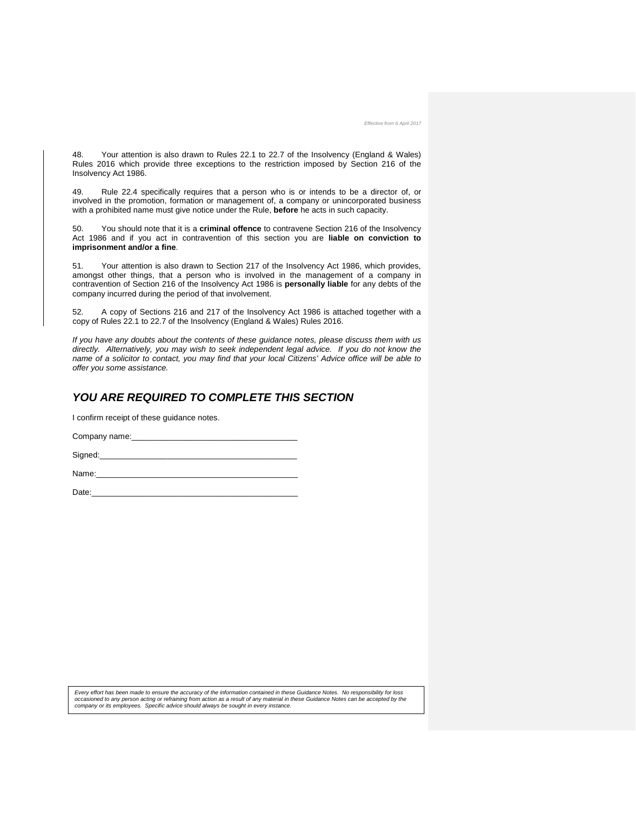48. Your attention is also drawn to Rules 22.1 to 22.7 of the Insolvency (England & Wales) Rules 2016 which provide three exceptions to the restriction imposed by Section 216 of the Insolvency Act 1986.

49. Rule 22.4 specifically requires that a person who is or intends to be a director of, or involved in the promotion, formation or management of, a company or unincorporated business with a prohibited name must give notice under the Rule, **before** he acts in such capacity.

50. You should note that it is a **criminal offence** to contravene Section 216 of the Insolvency Act 1986 and if you act in contravention of this section you are **liable on conviction to imprisonment and/or a fine**.

51. Your attention is also drawn to Section 217 of the Insolvency Act 1986, which provides, amongst other things, that a person who is involved in the management of a company in contravention of Section 216 of the Insolvency Act 1986 is **personally liable** for any debts of the company incurred during the period of that involvement.

52. A copy of Sections 216 and 217 of the Insolvency Act 1986 is attached together with a copy of Rules 22.1 to 22.7 of the Insolvency (England & Wales) Rules 2016.

*If you have any doubts about the contents of these guidance notes, please discuss them with us directly. Alternatively, you may wish to seek independent legal advice. If you do not know the name of a solicitor to contact, you may find that your local Citizens' Advice office will be able to offer you some assistance.*

## *YOU ARE REQUIRED TO COMPLETE THIS SECTION*

I confirm receipt of these guidance notes.

Company name:

Signed:

Name:

Date:\_\_\_\_\_\_\_\_\_\_\_\_\_\_\_\_\_\_\_\_\_\_\_\_\_\_\_\_\_\_\_\_\_\_\_\_\_\_\_\_\_\_\_\_\_\_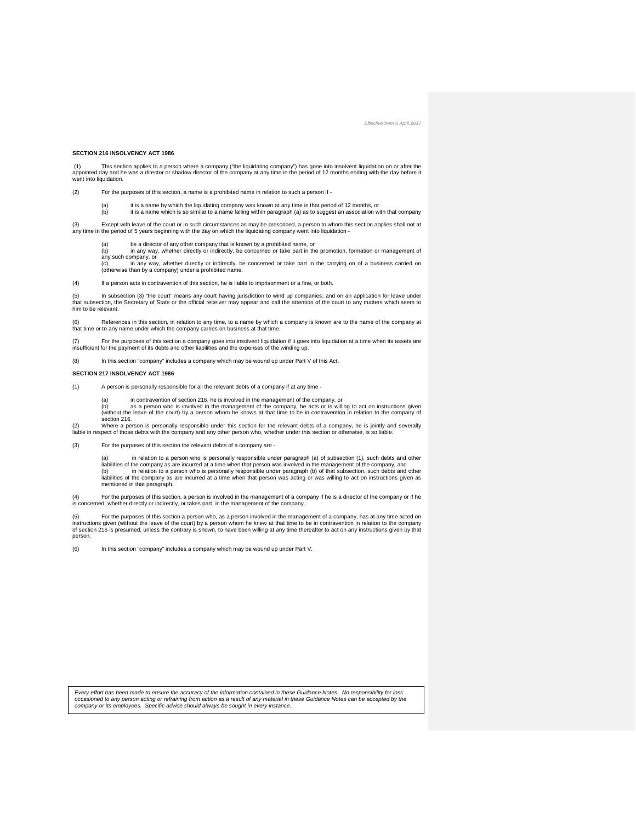#### **SECTION 216 INSOLVENCY ACT 1986**

(1) This section applies to a person where a company ("the liquidating company") has gone into insolvent liquidation on or after the<br>appointed day and he was a director or shadow director of the company at any time in the went into liquidation.

(2) For the purposes of this section, a name is a prohibited name in relation to such a person if

(a) it is a name by which the liquidating company was known at any time in that period of 12 months, or<br>(b) it is a name which is so similar to a name falling within paragraph (a) as to suggest an association with th

(3) Except with leave of the court or in such circumstances as may be prescribed, a person to whom this section applies shall not at any time in the period of 5 years beginning with the day on which the liquidating company went into liquidation -

(a) be a director of any other company that is known by a prohibited name, or (b) in any way, whether directly or indirectly. be concerned or take part in the

in any way, whether directly or indirectly, be concerned or take part in the promotion, formation or management of  $\frac{1}{2}$  any such company, or<br>(c) in any way in any way, whether directly or indirectly, be concerned or take part in the carrying on of a business carried on

(otherwise than by a company) under a prohibited name.

(4) If a person acts in contravention of this section, he is liable to imprisonment or a fine, or both.

(5) In subsection (3) "the court" means any court having jurisdiction to wind up companies; and on an application for leave under that subsection, the Secretary of State or the official receiver may appear and call the attention of the court to any matters which seem to him to be relevant.

(6) References in this section, in relation to any time, to a name by which a company is known are to the name of the company at that time or to any name under which the company carries on business at that time.

(7) For the purposes of this section a company goes into insolvent liquidation if it goes into liquidation at a time when its assets are<br>insufficient for the payment of its debts and other liabilities and the expenses of t

(8) In this section "company" includes a company which may be wound up under Part V of this Act.

#### **SECTION 217 INSOLVENCY ACT 1986**

(1) A person is personally responsible for all the relevant debts of a company if at any time -

- 
- (a) in contravention of section 216, he is involved in the management of the company, or<br>(b) as a person who is involved in the management of the company, he acts or is willing to act on instructions given<br>(without t section 216.

(2) Where a person is personally responsible under this section for the relevant debts of a company, he is jointly and severally<br>liable in respect of those debts with the company and any other person who, whether under thi

(3) For the purposes of this section the relevant debts of a company are -

in relation to a person who is personally responsible under paragraph (a) of subsection (1), such debts and other<br>liabilities of the company as are incurred at a time when that person was involved in the management of the liabilities of the company as are incurred at a time when that person was acting or was willing to act on instructions given as mentioned in that paragraph.

(4) For the purposes of this section, a person is involved in the management of a company if he is a director of the company or if he<br>is concerned, whether directly or indirectly, or takes part, in the management of the co

(5) For the purposes of this section a person who, as a person involved in the management of a company, has at any time acted on<br>instructions given (without the leave of the court) by a person whom he knew at that time to of section 216 is presumed, unless the contrary is shown, to have been willing at any time thereafter to act on any instructions given by that person.

(6) In this section "company" includes a company which may be wound up under Part V.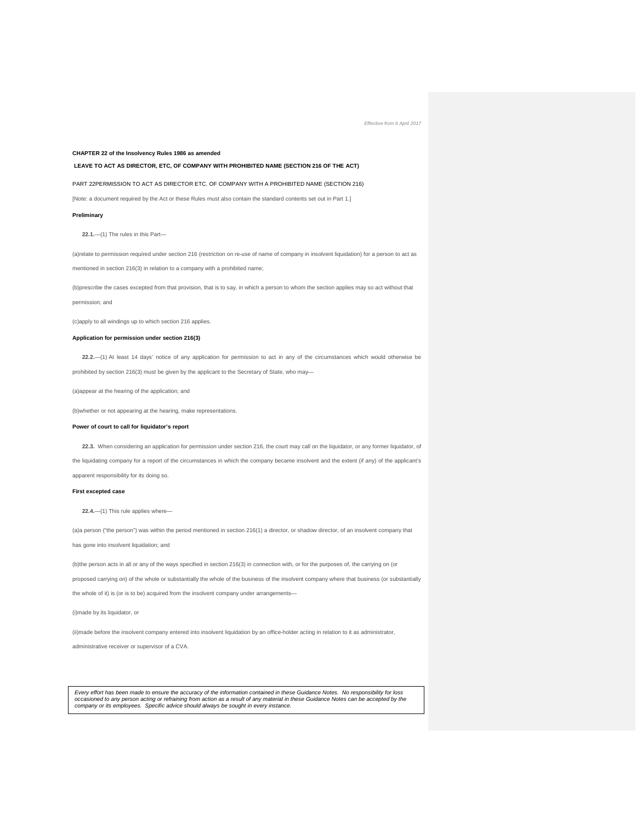#### **CHAPTER 22 of the Insolvency Rules 1986 as amended**

#### **LEAVE TO ACT AS DIRECTOR, ETC, OF COMPANY WITH PROHIBITED NAME (SECTION 216 OF THE ACT)**

PART 22PERMISSION TO ACT AS DIRECTOR ETC. OF COMPANY WITH A PROHIBITED NAME (SECTION 216)

[Note: a document required by the Act or these Rules must also contain the standard contents set out in Part 1.]

#### **Preliminary**

**22.1.**—(1) The rules in this Part—

(a)relate to permission required under section 216 (restriction on re-use of name of company in insolvent liquidation) for a person to act as mentioned in section 216(3) in relation to a company with a prohibited name;

(b)prescribe the cases excepted from that provision, that is to say, in which a person to whom the section applies may so act without that permission; and

(c)apply to all windings up to which section 216 applies.

#### **Application for permission under section 216(3)**

**22.2.**—(1) At least 14 days' notice of any application for permission to act in any of the circumstances which would otherwise be prohibited by section 216(3) must be given by the applicant to the Secretary of State, who may-

(a)appear at the hearing of the application; and

(b)whether or not appearing at the hearing, make representations.

#### **Power of court to call for liquidator's report**

**22.3.** When considering an application for permission under section 216, the court may call on the liquidator, or any former liquidator, of the liquidating company for a report of the circumstances in which the company became insolvent and the extent (if any) of the applicant's apparent responsibility for its doing so.

#### **First excepted case**

**22.4.**—(1) This rule applies where—

(a)a person ("the person") was within the period mentioned in section 216(1) a director, or shadow director, of an insolvent company that has gone into insolvent liquidation; and

(b)the person acts in all or any of the ways specified in section 216(3) in connection with, or for the purposes of, the carrying on (or

proposed carrying on) of the whole or substantially the whole of the business of the insolvent company where that business (or substantially

the whole of it) is (or is to be) acquired from the insolvent company under arrangements—

(i)made by its liquidator, or

(ii)made before the insolvent company entered into insolvent liquidation by an office-holder acting in relation to it as administrator,

administrative receiver or supervisor of a CVA.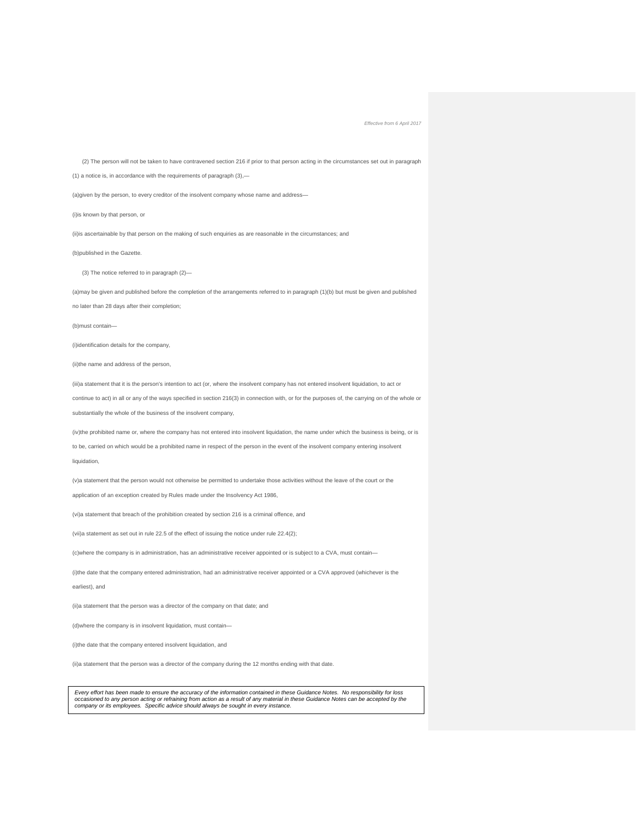(2) The person will not be taken to have contravened section 216 if prior to that person acting in the circumstances set out in paragraph

(1) a notice is, in accordance with the requirements of paragraph (3),—

(a)given by the person, to every creditor of the insolvent company whose name and address—

(i)is known by that person, or

(ii)is ascertainable by that person on the making of such enquiries as are reasonable in the circumstances; and

(b)published in the Gazette.

(3) The notice referred to in paragraph (2)—

(a)may be given and published before the completion of the arrangements referred to in paragraph (1)(b) but must be given and published no later than 28 days after their completion;

(b)must contain—

(i)identification details for the company,

(ii)the name and address of the person,

(iii)a statement that it is the person's intention to act (or, where the insolvent company has not entered insolvent liquidation, to act or

continue to act) in all or any of the ways specified in section 216(3) in connection with, or for the purposes of, the carrying on of the whole or

substantially the whole of the business of the insolvent company,

(iv)the prohibited name or, where the company has not entered into insolvent liquidation, the name under which the business is being, or is to be, carried on which would be a prohibited name in respect of the person in the event of the insolvent company entering insolvent liquidation,

(v)a statement that the person would not otherwise be permitted to undertake those activities without the leave of the court or the application of an exception created by Rules made under the Insolvency Act 1986,

(vi)a statement that breach of the prohibition created by section 216 is a criminal offence, and

(vii)a statement as set out in rule 22.5 of the effect of issuing the notice under rule 22.4(2);

(c)where the company is in administration, has an administrative receiver appointed or is subject to a CVA, must contain—

(i)the date that the company entered administration, had an administrative receiver appointed or a CVA approved (whichever is the

earliest), and

(ii)a statement that the person was a director of the company on that date; and

(d)where the company is in insolvent liquidation, must contain-

(i)the date that the company entered insolvent liquidation, and

(ii)a statement that the person was a director of the company during the 12 months ending with that date.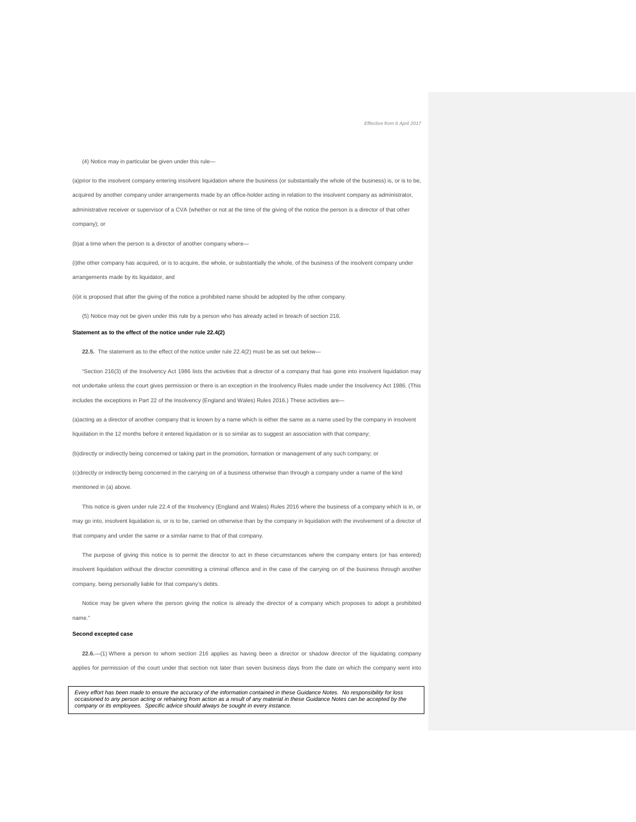(4) Notice may in particular be given under this rule—

(a)prior to the insolvent company entering insolvent liquidation where the business (or substantially the whole of the business) is, or is to be, acquired by another company under arrangements made by an office-holder acting in relation to the insolvent company as administrator, administrative receiver or supervisor of a CVA (whether or not at the time of the giving of the notice the person is a director of that other company); or

(b)at a time when the person is a director of another company where—

(i)the other company has acquired, or is to acquire, the whole, or substantially the whole, of the business of the insolvent company under arrangements made by its liquidator, and

(ii)it is proposed that after the giving of the notice a prohibited name should be adopted by the other company.

(5) Notice may not be given under this rule by a person who has already acted in breach of section 216.

#### **Statement as to the effect of the notice under rule 22.4(2)**

22.5. The statement as to the effect of the notice under rule 22.4(2) must be as set out below-

"Section 216(3) of the Insolvency Act 1986 lists the activities that a director of a company that has gone into insolvent liquidation may not undertake unless the court gives permission or there is an exception in the Insolvency Rules made under the Insolvency Act 1986. (This includes the exceptions in Part 22 of the Insolvency (England and Wales) Rules 2016.) These activities are—

(a)acting as a director of another company that is known by a name which is either the same as a name used by the company in insolvent liquidation in the 12 months before it entered liquidation or is so similar as to suggest an association with that company;

(b)directly or indirectly being concerned or taking part in the promotion, formation or management of any such company; or

(c)directly or indirectly being concerned in the carrying on of a business otherwise than through a company under a name of the kind mentioned in (a) above.

This notice is given under rule 22.4 of the Insolvency (England and Wales) Rules 2016 where the business of a company which is in, or may go into, insolvent liquidation is, or is to be, carried on otherwise than by the company in liquidation with the involvement of a director of that company and under the same or a similar name to that of that company.

The purpose of giving this notice is to permit the director to act in these circumstances where the company enters (or has entered) insolvent liquidation without the director committing a criminal offence and in the case of the carrying on of the business through another company, being personally liable for that company's debts.

Notice may be given where the person giving the notice is already the director of a company which proposes to adopt a prohibited name."

#### **Second excepted case**

**22.6.**—(1) Where a person to whom section 216 applies as having been a director or shadow director of the liquidating company applies for permission of the court under that section not later than seven business days from the date on which the company went into